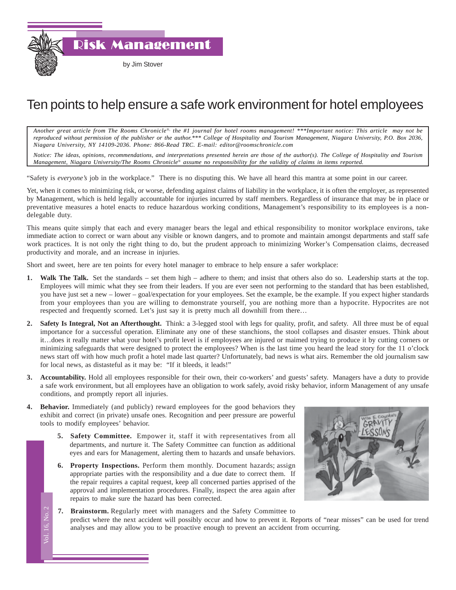Risk Management

## Ten points to help ensure a safe work environment for hotel employees

*Another great article from The Rooms Chronicle*®*, the #1 journal for hotel rooms management! \*\*\*Important notice: This article may not be reproduced without permission of the publisher or the author.\*\*\* College of Hospitality and Tourism Management, Niagara University, P.O. Box 2036, Niagara University, NY 14109-2036. Phone: 866-Read TRC. E-mail: editor@roomschronicle.com*

*Notice: The ideas, opinions, recommendations, and interpretations presented herein are those of the author(s). The College of Hospitality and Tourism Management, Niagara University/The Rooms Chronicle*® *assume no responsibility for the validity of claims in items reported.*

"Safety is *everyone's* job in the workplace." There is no disputing this. We have all heard this mantra at some point in our career.

Yet, when it comes to minimizing risk, or worse, defending against claims of liability in the workplace, it is often the employer, as represented by Management, which is held legally accountable for injuries incurred by staff members. Regardless of insurance that may be in place or preventative measures a hotel enacts to reduce hazardous working conditions, Management's responsibility to its employees is a nondelegable duty.

This means quite simply that each and every manager bears the legal and ethical responsibility to monitor workplace environs, take immediate action to correct or warn about any visible or known dangers, and to promote and maintain amongst departments and staff safe work practices. It is not only the right thing to do, but the prudent approach to minimizing Worker's Compensation claims, decreased productivity and morale, and an increase in injuries.

Short and sweet, here are ten points for every hotel manager to embrace to help ensure a safer workplace:

- **1. Walk The Talk.** Set the standards set them high adhere to them; and insist that others also do so. Leadership starts at the top. Employees will mimic what they see from their leaders. If you are ever seen not performing to the standard that has been established, you have just set a new – lower – goal/expectation for your employees. Set the example, be the example. If you expect higher standards from your employees than you are willing to demonstrate yourself, you are nothing more than a hypocrite. Hypocrites are not respected and frequently scorned. Let's just say it is pretty much all downhill from there…
- **2. Safety Is Integral, Not an Afterthought.** Think: a 3-legged stool with legs for quality, profit, and safety. All three must be of equal importance for a successful operation. Eliminate any one of these stanchions, the stool collapses and disaster ensues. Think about it…does it really matter what your hotel's profit level is if employees are injured or maimed trying to produce it by cutting corners or minimizing safeguards that were designed to protect the employees? When is the last time you heard the lead story for the 11 o'clock news start off with how much profit a hotel made last quarter? Unfortunately, bad news is what airs. Remember the old journalism saw for local news, as distasteful as it may be: "If it bleeds, it leads!"
- **3. Accountability.** Hold all employees responsible for their own, their co-workers' and guests' safety. Managers have a duty to provide a safe work environment, but all employees have an obligation to work safely, avoid risky behavior, inform Management of any unsafe conditions, and promptly report all injuries.
- **4. Behavior.** Immediately (and publicly) reward employees for the good behaviors they exhibit and correct (in private) unsafe ones. Recognition and peer pressure are powerful tools to modify employees' behavior.

Vol. 16, No. 2

'ol. 16, No.

- **5. Safety Committee.** Empower it, staff it with representatives from all departments, and nurture it. The Safety Committee can function as additional eyes and ears for Management, alerting them to hazards and unsafe behaviors.
- $T$ **6. Property Inspections.** Perform them monthly. Document hazards; assign appropriate parties with the responsibility and a due date to correct them. If the repair requires a capital request, keep all concerned parties apprised of the approval and implementation procedures. Finally, inspect the area again after repairs to make sure the hazard has been corrected.



**7. Brainstorm.** Regularly meet with managers and the Safety Committee to predict where the next accident will possibly occur and how to prevent it. Reports of "near misses" can be used for trend analyses and may allow you to be proactive enough to prevent an accident from occurring.